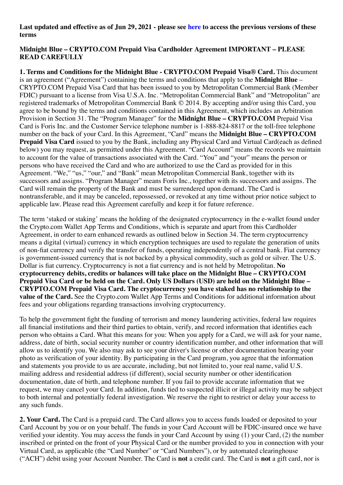#### **Last updated and effective as of Jun 29, 2021 - please see [here](https://crypto.com/document/us_card_blue_old) to access the previous versions of these terms**

### **Midnight Blue – CRYPTO.COM Prepaid Visa Cardholder Agreement IMPORTANT – PLEASE READ CAREFULLY**

**1. Terms and Conditions for the Midnight Blue - CRYPTO.COM Prepaid Visa® Card.** This document is an agreement ("Agreement") containing the terms and conditions that apply to the **Midnight Blue** – CRYPTO.COM Prepaid Visa Card that has been issued to you by Metropolitan Commercial Bank (Member FDIC) pursuant to a license from Visa U.S.A. Inc. "Metropolitan Commercial Bank" and "Metropolitan" are registered trademarks of Metropolitan Commercial Bank © 2014. By accepting and/or using this Card, you agree to be bound by the terms and conditions contained in this Agreement, which includes an Arbitration Provision in Section 31. The "Program Manager" for the **Midnight Blue – CRYPTO.COM** Prepaid Visa Card is Foris Inc. and the Customer Service telephone number is 1-888-824-8817 or the toll-free telephone number on the back of your Card. In this Agreement, "Card" means the **Midnight Blue – CRYPTO.COM Prepaid Visa Card** issued to you by the Bank, including any Physical Card and Virtual Card(each as defined below) you may request, as permitted under this Agreement. "Card Account" means the records we maintain to account for the value of transactions associated with the Card. "You" and "your" means the person or persons who have received the Card and who are authorized to use the Card as provided for in this Agreement. "We," "us," "our," and "Bank" mean Metropolitan Commercial Bank, together with its successors and assigns. "Program Manager" means Foris Inc., together with its successors and assigns. The Card will remain the property of the Bank and must be surrendered upon demand. The Card is nontransferable, and it may be canceled, repossessed, or revoked at any time without prior notice subject to applicable law. Please read this Agreement carefully and keep it for future reference.

The term 'staked or staking' means the holding of the designated cryptocurrency in the e-wallet found under the Crypto.com Wallet App Terms and Conditions, which is separate and apart from this Cardholder Agreement, in order to earn enhanced rewards as outlined below in Section 34. The term cryptocurrency means a digital (virtual) currency in which encryption techniques are used to regulate the generation of units of non-fiat currency and verify the transfer of funds, operating independently of a central bank. Fiat currency is government-issued currency that is not backed by a physical commodity, such as gold or silver. The U.S. Dollar is fiat currency. Cryptocurrency is not a fiat currency and is not held by Metropolitan. **No cryptocurrency debits, credits or balances will take place on the Midnight Blue – CRYPTO.COM Prepaid Visa Card or be held on the Card. Only US Dollars (USD) are held on the Midnight Blue – CRYPTO.COM Prepaid Visa Card. The cryptocurrency you have staked has no relationship to the value of the Card.** See the Crypto.com Wallet App Terms and Conditions for additional information about fees and your obligations regarding transactions involving cryptocurrency.

To help the government fight the funding of terrorism and money laundering activities, federal law requires all financial institutions and their third parties to obtain, verify, and record information that identifies each person who obtains a Card. What this means for you: When you apply for a Card, we will ask for your name, address, date of birth, social security number or country identification number, and other information that will allow us to identify you. We also may ask to see your driver's license or other documentation bearing your photo as verification of your identity. By participating in the Card program, you agree that the information and statements you provide to us are accurate, including, but not limited to, your real name, valid U.S. mailing address and residential address (if different), social security number or other identification documentation, date of birth, and telephone number. If you fail to provide accurate information that we request, we may cancel your Card. In addition, funds tied to suspected illicit or illegal activity may be subject to both internal and potentially federal investigation. We reserve the right to restrict or delay your access to any such funds.

**2. Your Card.** The Card is a prepaid card. The Card allows you to access funds loaded or deposited to your Card Account by you or on your behalf. The funds in your Card Account will be FDIC-insured once we have verified your identity. You may access the funds in your Card Account by using (1) your Card, (2) the number inscribed or printed on the front of your Physical Card or the number provided to you in connection with your Virtual Card, as applicable (the "Card Number" or "Card Numbers"), or by automated clearinghouse ("ACH") debit using your Account Number. The Card is **not** a credit card. The Card is **not** a gift card, nor is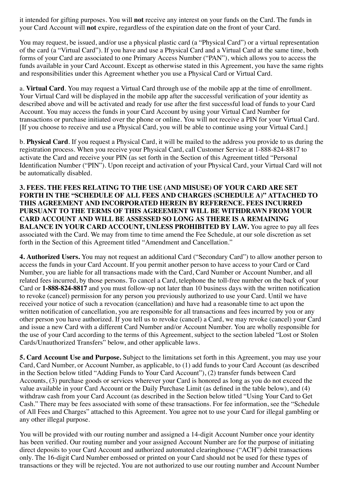it intended for gifting purposes. You will **not** receive any interest on your funds on the Card. The funds in your Card Account will **not** expire, regardless of the expiration date on the front of your Card.

You may request, be issued, and/or use a physical plastic card (a "Physical Card") or a virtual representation of the card (a "Virtual Card"). If you have and use a Physical Card and a Virtual Card at the same time, both forms of your Card are associated to one Primary Access Number ("PAN"), which allows you to access the funds available in your Card Account. Except as otherwise stated in this Agreement, you have the same rights and responsibilities under this Agreement whether you use a Physical Card or Virtual Card.

a. **Virtual Card**. You may request a Virtual Card through use of the mobile app at the time of enrollment. Your Virtual Card will be displayed in the mobile app after the successful verification of your identity as described above and will be activated and ready for use after the first successful load of funds to your Card Account. You may access the funds in your Card Account by using your Virtual Card Number for transactions or purchase initiated over the phone or online. You will not receive a PIN for your Virtual Card. [If you choose to receive and use a Physical Card, you will be able to continue using your Virtual Card.]

b. **Physical Card**. If you request a Physical Card, it will be mailed to the address you provide to us during the registration process. When you receive your Physical Card, call Customer Service at 1-888-824-8817 to activate the Card and receive your PIN (as set forth in the Section of this Agreement titled "Personal Identification Number ("PIN"). Upon receipt and activation of your Physical Card, your Virtual Card will not be automatically disabled.

**3. FEES. THE FEES RELATING TO THE USE (AND MISUSE) OF YOUR CARD ARE SET FORTH IN THE "SCHEDULE OF ALL FEES AND CHARGES (SCHEDULE A)" ATTACHED TO THIS AGREEMENT AND INCORPORATED HEREIN BY REFERENCE. FEES INCURRED PURSUANT TO THE TERMS OF THIS AGREEMENT WILL BE WITHDRAWN FROM YOUR CARD ACCOUNT AND WILL BE ASSESSED SO LONG AS THERE IS A REMAINING BALANCE IN YOUR CARD ACCOUNT, UNLESS PROHIBITED BY LAW.** You agree to pay all fees associated with the Card. We may from time to time amend the Fee Schedule, at our sole discretion as set forth in the Section of this Agreement titled "Amendment and Cancellation."

**4. Authorized Users.** You may not request an additional Card ("Secondary Card") to allow another person to access the funds in your Card Account. If you permit another person to have access to your Card or Card Number, you are liable for all transactions made with the Card, Card Number or Account Number, and all related fees incurred, by those persons. To cancel a Card, telephone the toll-free number on the back of your Card or **1-888-824-8817** and you must follow-up not later than 10 business days with the written notification to revoke (cancel) permission for any person you previously authorized to use your Card. Until we have received your notice of such a revocation (cancellation) and have had a reasonable time to act upon the written notification of cancellation, you are responsible for all transactions and fees incurred by you or any other person you have authorized. If you tell us to revoke (cancel) a Card, we may revoke (cancel) your Card and issue a new Card with a different Card Number and/or Account Number. You are wholly responsible for the use of your Card according to the terms of this Agreement, subject to the section labeled "Lost or Stolen Cards/Unauthorized Transfers" below, and other applicable laws.

**5. Card Account Use and Purpose.** Subject to the limitations set forth in this Agreement, you may use your Card, Card Number, or Account Number, as applicable, to (1) add funds to your Card Account (as described in the Section below titled "Adding Funds to Your Card Account"), (2) transfer funds between Card Accounts, (3) purchase goods or services wherever your Card is honored as long as you do not exceed the value available in your Card Account or the Daily Purchase Limit (as defined in the table below), and (4) withdraw cash from your Card Account (as described in the Section below titled "Using Your Card to Get Cash." There may be fees associated with some of these transactions. For fee information, see the "Schedule of All Fees and Charges" attached to this Agreement. You agree not to use your Card for illegal gambling or any other illegal purpose.

You will be provided with our routing number and assigned a 14-digit Account Number once your identity has been verified. Our routing number and your assigned Account Number are for the purpose of initiating direct deposits to your Card Account and authorized automated clearinghouse ("ACH") debit transactions only. The 16-digit Card Number embossed or printed on your Card should not be used for these types of transactions or they will be rejected. You are not authorized to use our routing number and Account Number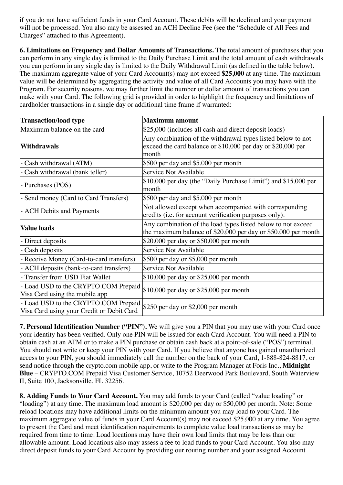if you do not have sufficient funds in your Card Account. These debits will be declined and your payment will not be processed. You also may be assessed an ACH Decline Fee (see the "Schedule of All Fees and Charges" attached to this Agreement).

**6. Limitations on Frequency and Dollar Amounts of Transactions.** The total amount of purchases that you can perform in any single day is limited to the Daily Purchase Limit and the total amount of cash withdrawals you can perform in any single day is limited to the Daily Withdrawal Limit (as defined in the table below). The maximum aggregate value of your Card Account(s) may not exceed **\$25,000** at any time. The maximum value will be determined by aggregating the activity and value of all Card Accounts you may have with the Program. For security reasons, we may further limit the number or dollar amount of transactions you can make with your Card. The following grid is provided in order to highlight the frequency and limitations of cardholder transactions in a single day or additional time frame if warranted:

| <b>Transaction/load type</b>                                                      | <b>Maximum amount</b>                                                                                                               |  |
|-----------------------------------------------------------------------------------|-------------------------------------------------------------------------------------------------------------------------------------|--|
| Maximum balance on the card                                                       | \$25,000 (includes all cash and direct deposit loads)                                                                               |  |
| <b>Withdrawals</b>                                                                | Any combination of the withdrawal types listed below to not<br>exceed the card balance or \$10,000 per day or \$20,000 per<br>month |  |
| Cash withdrawal (ATM)                                                             | \$500 per day and $$5,000$ per month                                                                                                |  |
| Cash withdrawal (bank teller)                                                     | Service Not Available                                                                                                               |  |
| - Purchases (POS)                                                                 | \$10,000 per day (the "Daily Purchase Limit") and \$15,000 per<br>month                                                             |  |
| Send money (Card to Card Transfers)                                               | \$500 per day and \$5,000 per month                                                                                                 |  |
| <b>ACH</b> Debits and Payments                                                    | Not allowed except when accompanied with corresponding<br>credits (i.e. for account verification purposes only).                    |  |
| <b>Value loads</b>                                                                | Any combination of the load types listed below to not exceed<br>the maximum balance of \$20,000 per day or \$50,000 per month       |  |
| - Direct deposits                                                                 | \$20,000 per day or \$50,000 per month                                                                                              |  |
| - Cash deposits                                                                   | Service Not Available                                                                                                               |  |
| Receive Money (Card-to-card transfers)                                            | \$500 per day or \$5,000 per month                                                                                                  |  |
| ACH deposits (bank-to-card transfers)                                             | Service Not Available                                                                                                               |  |
| Transfer from USD Fiat Wallet                                                     | \$10,000 per day or \$25,000 per month                                                                                              |  |
| - Load USD to the CRYPTO.COM Prepaid<br>Visa Card using the mobile app            | \$10,000 per day or \$25,000 per month                                                                                              |  |
| - Load USD to the CRYPTO.COM Prepaid<br>Visa Card using your Credit or Debit Card | \$250 per day or \$2,000 per month                                                                                                  |  |

**7. Personal Identification Number ("PIN").** We will give you a PIN that you may use with your Card once your identity has been verified. Only one PIN will be issued for each Card Account. You will need a PIN to obtain cash at an ATM or to make a PIN purchase or obtain cash back at a point-of-sale ("POS") terminal. You should not write or keep your PIN with your Card. If you believe that anyone has gained unauthorized access to your PIN, you should immediately call the number on the back of your Card, 1-888-824-8817, or send notice through the crypto.com mobile app, or write to the Program Manager at Foris Inc., **Midnight Blue** – CRYPTO.COM Prepaid Visa Customer Service, 10752 Deerwood Park Boulevard, South Waterview II, Suite 100, Jacksonville, FL 32256.

**8. Adding Funds to Your Card Account.** You may add funds to your Card (called "value loading" or "loading") at any time. The maximum load amount is \$20,000 per day or \$50,000 per month. Note: Some reload locations may have additional limits on the minimum amount you may load to your Card. The maximum aggregate value of funds in your Card Account(s) may not exceed \$25,000 at any time. You agree to present the Card and meet identification requirements to complete value load transactions as may be required from time to time. Load locations may have their own load limits that may be less than our allowable amount. Load locations also may assess a fee to load funds to your Card Account. You also may direct deposit funds to your Card Account by providing our routing number and your assigned Account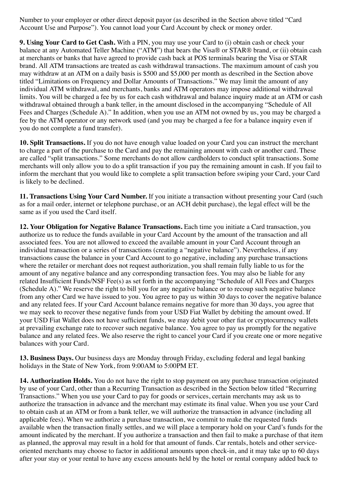Number to your employer or other direct deposit payor (as described in the Section above titled "Card Account Use and Purpose"). You cannot load your Card Account by check or money order.

**9. Using Your Card to Get Cash.** With a PIN, you may use your Card to (i) obtain cash or check your balance at any Automated Teller Machine ("ATM") that bears the Visa® or STAR® brand, or (ii) obtain cash at merchants or banks that have agreed to provide cash back at POS terminals bearing the Visa or STAR brand. All ATM transactions are treated as cash withdrawal transactions. The maximum amount of cash you may withdraw at an ATM on a daily basis is \$500 and \$5,000 per month as described in the Section above titled "Limitations on Frequency and Dollar Amounts of Transactions." We may limit the amount of any individual ATM withdrawal, and merchants, banks and ATM operators may impose additional withdrawal limits. You will be charged a fee by us for each cash withdrawal and balance inquiry made at an ATM or cash withdrawal obtained through a bank teller, in the amount disclosed in the accompanying "Schedule of All Fees and Charges (Schedule A)." In addition, when you use an ATM not owned by us, you may be charged a fee by the ATM operator or any network used (and you may be charged a fee for a balance inquiry even if you do not complete a fund transfer).

**10. Split Transactions.** If you do not have enough value loaded on your Card you can instruct the merchant to charge a part of the purchase to the Card and pay the remaining amount with cash or another card. These are called "split transactions." Some merchants do not allow cardholders to conduct split transactions. Some merchants will only allow you to do a split transaction if you pay the remaining amount in cash. If you fail to inform the merchant that you would like to complete a split transaction before swiping your Card, your Card is likely to be declined.

**11. Transactions Using Your Card Number.** If you initiate a transaction without presenting your Card (such as for a mail order, internet or telephone purchase, or an ACH debit purchase), the legal effect will be the same as if you used the Card itself.

**12. Your Obligation for Negative Balance Transactions.** Each time you initiate a Card transaction, you authorize us to reduce the funds available in your Card Account by the amount of the transaction and all associated fees. You are not allowed to exceed the available amount in your Card Account through an individual transaction or a series of transactions (creating a "negative balance"). Nevertheless, if any transactions cause the balance in your Card Account to go negative, including any purchase transactions where the retailer or merchant does not request authorization, you shall remain fully liable to us for the amount of any negative balance and any corresponding transaction fees. You may also be liable for any related Insufficient Funds/NSF Fee(s) as set forth in the accompanying "Schedule of All Fees and Charges (Schedule A)." We reserve the right to bill you for any negative balance or to recoup such negative balance from any other Card we have issued to you. You agree to pay us within 30 days to cover the negative balance and any related fees. If your Card Account balance remains negative for more than 30 days, you agree that we may seek to recover these negative funds from your USD Fiat Wallet by debiting the amount owed. If your USD Fiat Wallet does not have sufficient funds, we may debit your other fiat or cryptocurrency wallets at prevailing exchange rate to recover such negative balance. You agree to pay us promptly for the negative balance and any related fees. We also reserve the right to cancel your Card if you create one or more negative balances with your Card.

**13. Business Days.** Our business days are Monday through Friday, excluding federal and legal banking holidays in the State of New York, from 9:00AM to 5:00PM ET.

**14. Authorization Holds.** You do not have the right to stop payment on any purchase transaction originated by use of your Card, other than a Recurring Transaction as described in the Section below titled "Recurring Transactions." When you use your Card to pay for goods or services, certain merchants may ask us to authorize the transaction in advance and the merchant may estimate its final value. When you use your Card to obtain cash at an ATM or from a bank teller, we will authorize the transaction in advance (including all applicable fees). When we authorize a purchase transaction, we commit to make the requested funds available when the transaction finally settles, and we will place a temporary hold on your Card's funds for the amount indicated by the merchant. If you authorize a transaction and then fail to make a purchase of that item as planned, the approval may result in a hold for that amount of funds. Car rentals, hotels and other serviceoriented merchants may choose to factor in additional amounts upon check-in, and it may take up to 60 days after your stay or your rental to have any excess amounts held by the hotel or rental company added back to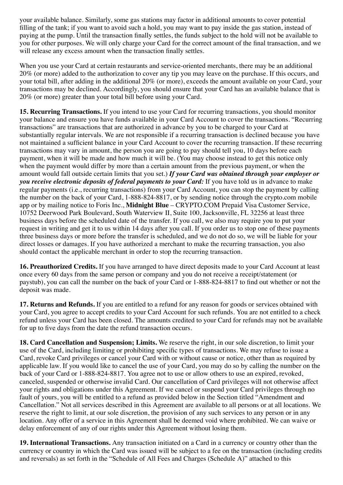your available balance. Similarly, some gas stations may factor in additional amounts to cover potential filling of the tank; if you want to avoid such a hold, you may want to pay inside the gas station, instead of paying at the pump. Until the transaction finally settles, the funds subject to the hold will not be available to you for other purposes. We will only charge your Card for the correct amount of the final transaction, and we will release any excess amount when the transaction finally settles.

When you use your Card at certain restaurants and service-oriented merchants, there may be an additional 20% (or more) added to the authorization to cover any tip you may leave on the purchase. If this occurs, and your total bill, after adding in the additional 20% (or more), exceeds the amount available on your Card, your transactions may be declined. Accordingly, you should ensure that your Card has an available balance that is 20% (or more) greater than your total bill before using your Card.

**15. Recurring Transactions.** If you intend to use your Card for recurring transactions, you should monitor your balance and ensure you have funds available in your Card Account to cover the transactions. "Recurring transactions" are transactions that are authorized in advance by you to be charged to your Card at substantially regular intervals. We are not responsible if a recurring transaction is declined because you have not maintained a sufficient balance in your Card Account to cover the recurring transaction. If these recurring transactions may vary in amount, the person you are going to pay should tell you, 10 days before each payment, when it will be made and how much it will be. (You may choose instead to get this notice only when the payment would differ by more than a certain amount from the previous payment, or when the amount would fall outside certain limits that you set.) *If your Card was obtained through your employer or you receive electronic deposits of federal payments to your Card:* If you have told us in advance to make regular payments (i.e., recurring transactions) from your Card Account, you can stop the payment by calling the number on the back of your Card, 1-888-824-8817, or by sending notice through the crypto.com mobile app or by mailing notice to Foris Inc., **Midnight Blue** – CRYPTO.COM Prepaid Visa Customer Service, 10752 Deerwood Park Boulevard, South Waterview II, Suite 100, Jacksonville, FL 32256 at least three business days before the scheduled date of the transfer. If you call, we also may require you to put your request in writing and get it to us within 14 days after you call. If you order us to stop one of these payments three business days or more before the transfer is scheduled, and we do not do so, we will be liable for your direct losses or damages. If you have authorized a merchant to make the recurring transaction, you also should contact the applicable merchant in order to stop the recurring transaction.

**16. Preauthorized Credits.** If you have arranged to have direct deposits made to your Card Account at least once every 60 days from the same person or company and you do not receive a receipt/statement (or paystub), you can call the number on the back of your Card or 1-888-824-8817 to find out whether or not the deposit was made.

**17. Returns and Refunds.** If you are entitled to a refund for any reason for goods or services obtained with your Card, you agree to accept credits to your Card Account for such refunds. You are not entitled to a check refund unless your Card has been closed. The amounts credited to your Card for refunds may not be available for up to five days from the date the refund transaction occurs.

**18. Card Cancellation and Suspension; Limits.** We reserve the right, in our sole discretion, to limit your use of the Card, including limiting or prohibiting specific types of transactions. We may refuse to issue a Card, revoke Card privileges or cancel your Card with or without cause or notice, other than as required by applicable law. If you would like to cancel the use of your Card, you may do so by calling the number on the back of your Card or 1-888-824-8817. You agree not to use or allow others to use an expired, revoked, canceled, suspended or otherwise invalid Card. Our cancellation of Card privileges will not otherwise affect your rights and obligations under this Agreement. If we cancel or suspend your Card privileges through no fault of yours, you will be entitled to a refund as provided below in the Section titled "Amendment and Cancellation." Not all services described in this Agreement are available to all persons or at all locations. We reserve the right to limit, at our sole discretion, the provision of any such services to any person or in any location. Any offer of a service in this Agreement shall be deemed void where prohibited. We can waive or delay enforcement of any of our rights under this Agreement without losing them.

**19. International Transactions.** Any transaction initiated on a Card in a currency or country other than the currency or country in which the Card was issued will be subject to a fee on the transaction (including credits and reversals) as set forth in the "Schedule of All Fees and Charges (Schedule A)" attached to this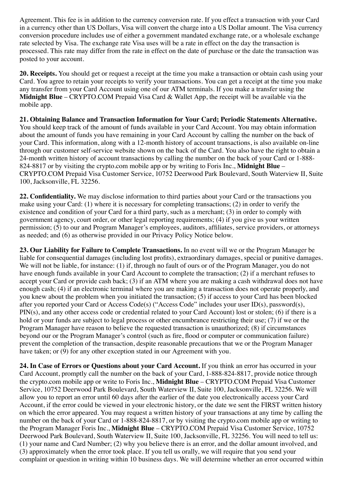Agreement. This fee is in addition to the currency conversion rate. If you effect a transaction with your Card in a currency other than US Dollars, Visa will convert the charge into a US Dollar amount. The Visa currency conversion procedure includes use of either a government mandated exchange rate, or a wholesale exchange rate selected by Visa. The exchange rate Visa uses will be a rate in effect on the day the transaction is processed. This rate may differ from the rate in effect on the date of purchase or the date the transaction was posted to your account.

**20. Receipts.** You should get or request a receipt at the time you make a transaction or obtain cash using your Card. You agree to retain your receipts to verify your transactions. You can get a receipt at the time you make any transfer from your Card Account using one of our ATM terminals. If you make a transfer using the **Midnight Blue** – CRYPTO.COM Prepaid Visa Card & Wallet App, the receipt will be available via the mobile app.

**21. Obtaining Balance and Transaction Information for Your Card; Periodic Statements Alternative.** You should keep track of the amount of funds available in your Card Account. You may obtain information about the amount of funds you have remaining in your Card Account by calling the number on the back of your Card. This information, along with a 12-month history of account transactions, is also available on-line through our customer self-service website shown on the back of the Card. You also have the right to obtain a 24-month written history of account transactions by calling the number on the back of your Card or 1-888- 824-8817 or by visiting the crypto.com mobile app or by writing to Foris Inc., **Midnight Blue** – CRYPTO.COM Prepaid Visa Customer Service, 10752 Deerwood Park Boulevard, South Waterview II, Suite 100, Jacksonville, FL 32256.

**22. Confidentiality.** We may disclose information to third parties about your Card or the transactions you make using your Card: (1) where it is necessary for completing transactions; (2) in order to verify the existence and condition of your Card for a third party, such as a merchant; (3) in order to comply with government agency, court order, or other legal reporting requirements; (4) if you give us your written permission; (5) to our and Program Manager's employees, auditors, affiliates, service providers, or attorneys as needed; and (6) as otherwise provided in our Privacy Policy Notice below.

**23. Our Liability for Failure to Complete Transactions.** In no event will we or the Program Manager be liable for consequential damages (including lost profits), extraordinary damages, special or punitive damages. We will not be liable, for instance: (1) if, through no fault of ours or of the Program Manager, you do not have enough funds available in your Card Account to complete the transaction; (2) if a merchant refuses to accept your Card or provide cash back; (3) if an ATM where you are making a cash withdrawal does not have enough cash; (4) if an electronic terminal where you are making a transaction does not operate properly, and you knew about the problem when you initiated the transaction; (5) if access to your Card has been blocked after you reported your Card or Access Code(s) ("Access Code" includes your user ID(s), password(s), PIN(s), and any other access code or credential related to your Card Account) lost or stolen; (6) if there is a hold or your funds are subject to legal process or other encumbrance restricting their use; (7) if we or the Program Manager have reason to believe the requested transaction is unauthorized; (8) if circumstances beyond our or the Program Manager's control (such as fire, flood or computer or communication failure) prevent the completion of the transaction, despite reasonable precautions that we or the Program Manager have taken; or (9) for any other exception stated in our Agreement with you.

**24. In Case of Errors or Questions about your Card Account.** If you think an error has occurred in your Card Account, promptly call the number on the back of your Card, 1-888-824-8817, provide notice through the crypto.com mobile app or write to Foris Inc., **Midnight Blue** – CRYPTO.COM Prepaid Visa Customer Service, 10752 Deerwood Park Boulevard, South Waterview II, Suite 100, Jacksonville, FL 32256. We will allow you to report an error until 60 days after the earlier of the date you electronically access your Card Account, if the error could be viewed in your electronic history, or the date we sent the FIRST written history on which the error appeared. You may request a written history of your transactions at any time by calling the number on the back of your Card or 1-888-824-8817, or by visiting the crypto.com mobile app or writing to the Program Manager Foris Inc., **Midnight Blue** – CRYPTO.COM Prepaid Visa Customer Service, 10752 Deerwood Park Boulevard, South Waterview II, Suite 100, Jacksonville, FL 32256. You will need to tell us: (1) your name and Card Number; (2) why you believe there is an error, and the dollar amount involved, and (3) approximately when the error took place. If you tell us orally, we will require that you send your complaint or question in writing within 10 business days. We will determine whether an error occurred within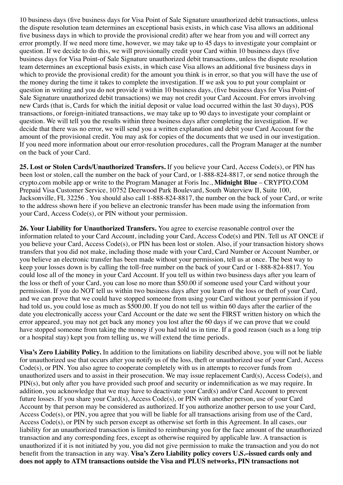10 business days (five business days for Visa Point of Sale Signature unauthorized debit transactions, unless the dispute resolution team determines an exceptional basis exists, in which case Visa allows an additional five business days in which to provide the provisional credit) after we hear from you and will correct any error promptly. If we need more time, however, we may take up to 45 days to investigate your complaint or question. If we decide to do this, we will provisionally credit your Card within 10 business days (five business days for Visa Point-of Sale Signature unauthorized debit transactions, unless the dispute resolution team determines an exceptional basis exists, in which case Visa allows an additional five business days in which to provide the provisional credit) for the amount you think is in error, so that you will have the use of the money during the time it takes to complete the investigation. If we ask you to put your complaint or question in writing and you do not provide it within 10 business days, (five business days for Visa Point-of Sale Signature unauthorized debit transactions) we may not credit your Card Account. For errors involving new Cards (that is, Cards for which the initial deposit or value load occurred within the last 30 days), POS transactions, or foreign-initiated transactions, we may take up to 90 days to investigate your complaint or question. We will tell you the results within three business days after completing the investigation. If we decide that there was no error, we will send you a written explanation and debit your Card Account for the amount of the provisional credit. You may ask for copies of the documents that we used in our investigation. If you need more information about our error-resolution procedures, call the Program Manager at the number on the back of your Card.

**25. Lost or Stolen Cards/Unauthorized Transfers.** If you believe your Card, Access Code(s), or PIN has been lost or stolen, call the number on the back of your Card, or 1-888-824-8817, or send notice through the crypto.com mobile app or write to the Program Manager at Foris Inc., **Midnight Blue** – CRYPTO.COM Prepaid Visa Customer Service, 10752 Deerwood Park Boulevard, South Waterview II, Suite 100, Jacksonville, FL 32256 . You should also call 1-888-824-8817, the number on the back of your Card, or write to the address shown here if you believe an electronic transfer has been made using the information from your Card, Access Code(s), or PIN without your permission.

**26. Your Liability for Unauthorized Transfers.** You agree to exercise reasonable control over the information related to your Card Account, including your Card, Access Code(s) and PIN. Tell us AT ONCE if you believe your Card, Access Code(s), or PIN has been lost or stolen. Also, if your transaction history shows transfers that you did not make, including those made with your Card, Card Number or Account Number, or you believe an electronic transfer has been made without your permission, tell us at once. The best way to keep your losses down is by calling the toll-free number on the back of your Card or 1-888-824-8817. You could lose all of the money in your Card Account. If you tell us within two business days after you learn of the loss or theft of your Card, you can lose no more than \$50.00 if someone used your Card without your permission. If you do NOT tell us within two business days after you learn of the loss or theft of your Card, and we can prove that we could have stopped someone from using your Card without your permission if you had told us, you could lose as much as \$500.00. If you do not tell us within 60 days after the earlier of the date you electronically access your Card Account or the date we sent the FIRST written history on which the error appeared, you may not get back any money you lost after the 60 days if we can prove that we could have stopped someone from taking the money if you had told us in time. If a good reason (such as a long trip or a hospital stay) kept you from telling us, we will extend the time periods.

**Visa's Zero Liability Policy.** In addition to the limitations on liability described above, you will not be liable for unauthorized use that occurs after you notify us of the loss, theft or unauthorized use of your Card, Access Code(s), or PIN. You also agree to cooperate completely with us in attempts to recover funds from unauthorized users and to assist in their prosecution. We may issue replacement Card(s), Access Code(s), and PIN(s), but only after you have provided such proof and security or indemnification as we may require. In addition, you acknowledge that we may have to deactivate your Card(s) and/or Card Account to prevent future losses. If you share your Card(s), Access Code(s), or PIN with another person, use of your Card Account by that person may be considered as authorized. If you authorize another person to use your Card, Access Code(s), or PIN, you agree that you will be liable for all transactions arising from use of the Card, Access Code(s), or PIN by such person except as otherwise set forth in this Agreement. In all cases, our liability for an unauthorized transaction is limited to reimbursing you for the face amount of the unauthorized transaction and any corresponding fees, except as otherwise required by applicable law. A transaction is unauthorized if it is not initiated by you, you did not give permission to make the transaction and you do not benefit from the transaction in any way. **Visa's Zero Liability policy covers U.S.–issued cards only and does not apply to ATM transactions outside the Visa and PLUS networks, PIN transactions not**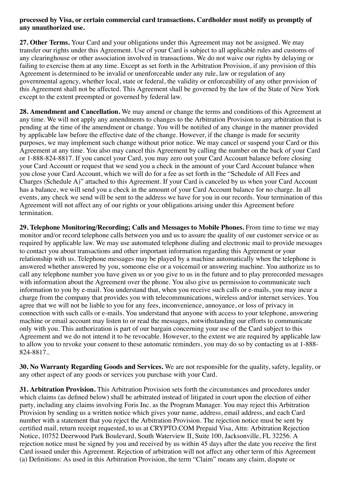#### **processed by Visa, or certain commercial card transactions. Cardholder must notify us promptly of any unauthorized use.**

**27. Other Terms.** Your Card and your obligations under this Agreement may not be assigned. We may transfer our rights under this Agreement. Use of your Card is subject to all applicable rules and customs of any clearinghouse or other association involved in transactions. We do not waive our rights by delaying or failing to exercise them at any time. Except as set forth in the Arbitration Provision, if any provision of this Agreement is determined to be invalid or unenforceable under any rule, law or regulation of any governmental agency, whether local, state or federal, the validity or enforceability of any other provision of this Agreement shall not be affected. This Agreement shall be governed by the law of the State of New York except to the extent preempted or governed by federal law.

**28. Amendment and Cancellation.** We may amend or change the terms and conditions of this Agreement at any time. We will not apply any amendments to changes to the Arbitration Provision to any arbitration that is pending at the time of the amendment or change. You will be notified of any change in the manner provided by applicable law before the effective date of the change. However, if the change is made for security purposes, we may implement such change without prior notice. We may cancel or suspend your Card or this Agreement at any time. You also may cancel this Agreement by calling the number on the back of your Card or 1-888-824-8817. If you cancel your Card, you may zero out your Card Account balance before closing your Card Account or request that we send you a check in the amount of your Card Account balance when you close your Card Account, which we will do for a fee as set forth in the "Schedule of All Fees and Charges (Schedule A)" attached to this Agreement. If your Card is canceled by us when your Card Account has a balance, we will send you a check in the amount of your Card Account balance for no charge. In all events, any check we send will be sent to the address we have for you in our records. Your termination of this Agreement will not affect any of our rights or your obligations arising under this Agreement before termination.

**29. Telephone Monitoring/Recording; Calls and Messages to Mobile Phones.** From time to time we may monitor and/or record telephone calls between you and us to assure the quality of our customer service or as required by applicable law. We may use automated telephone dialing and electronic mail to provide messages to contact you about transactions and other important information regarding this Agreement or your relationship with us. Telephone messages may be played by a machine automatically when the telephone is answered whether answered by you, someone else or a voicemail or answering machine. You authorize us to call any telephone number you have given us or you give to us in the future and to play prerecorded messages with information about the Agreement over the phone. You also give us permission to communicate such information to you by e-mail. You understand that, when you receive such calls or e-mails, you may incur a charge from the company that provides you with telecommunications, wireless and/or internet services. You agree that we will not be liable to you for any fees, inconvenience, annoyance, or loss of privacy in connection with such calls or e-mails. You understand that anyone with access to your telephone, answering machine or email account may listen to or read the messages, notwithstanding our efforts to communicate only with you. This authorization is part of our bargain concerning your use of the Card subject to this Agreement and we do not intend it to be revocable. However, to the extent we are required by applicable law to allow you to revoke your consent to these automatic reminders, you may do so by contacting us at 1-888- 824-8817..

**30. No Warranty Regarding Goods and Services.** We are not responsible for the quality, safety, legality, or any other aspect of any goods or services you purchase with your Card.

**31. Arbitration Provision.** This Arbitration Provision sets forth the circumstances and procedures under which claims (as defined below) shall be arbitrated instead of litigated in court upon the election of either party, including any claims involving Foris Inc. as the Program Manager. You may reject this Arbitration Provision by sending us a written notice which gives your name, address, email address, and each Card number with a statement that you reject the Arbitration Provision. The rejection notice must be sent by certified mail, return receipt requested, to us at CRYPTO.COM Prepaid Visa, Attn: Arbitration Rejection Notice, 10752 Deerwood Park Boulevard, South Waterview II, Suite 100, Jacksonville, FL 32256. A rejection notice must be signed by you and received by us within 45 days after the date you receive the first Card issued under this Agreement. Rejection of arbitration will not affect any other term of this Agreement (a) Definitions: As used in this Arbitration Provision, the term "Claim" means any claim, dispute or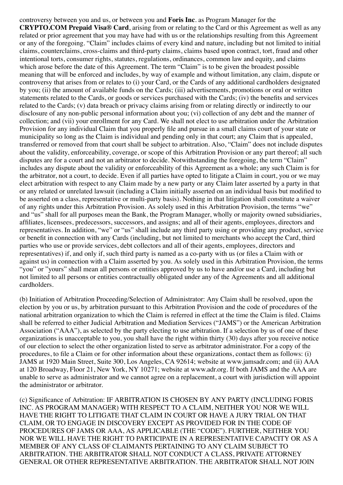controversy between you and us, or between you and **Foris Inc**. as Program Manager for the **CRYPTO.COM Prepaid Visa® Card**, arising from or relating to the Card or this Agreement as well as any related or prior agreement that you may have had with us or the relationships resulting from this Agreement or any of the foregoing. "Claim" includes claims of every kind and nature, including but not limited to initial claims, counterclaims, cross-claims and third-party claims, claims based upon contract, tort, fraud and other intentional torts, consumer rights, statutes, regulations, ordinances, common law and equity, and claims which arose before the date of this Agreement. The term "Claim" is to be given the broadest possible meaning that will be enforced and includes, by way of example and without limitation, any claim, dispute or controversy that arises from or relates to (i) your Card, or the Cards of any additional cardholders designated by you; (ii) the amount of available funds on the Cards; (iii) advertisements, promotions or oral or written statements related to the Cards, or goods or services purchased with the Cards; (iv) the benefits and services related to the Cards; (v) data breach or privacy claims arising from or relating directly or indirectly to our disclosure of any non-public personal information about you; (vi) collection of any debt and the manner of collection; and (vii) your enrollment for any Card. We shall not elect to use arbitration under the Arbitration Provision for any individual Claim that you properly file and pursue in a small claims court of your state or municipality so long as the Claim is individual and pending only in that court; any Claim that is appealed, transferred or removed from that court shall be subject to arbitration. Also, "Claim" does not include disputes about the validity, enforceability, coverage, or scope of this Arbitration Provision or any part thereof; all such disputes are for a court and not an arbitrator to decide. Notwithstanding the foregoing, the term "Claim" includes any dispute about the validity or enforceability of this Agreement as a whole; any such Claim is for the arbitrator, not a court, to decide. Even if all parties have opted to litigate a Claim in court, you or we may elect arbitration with respect to any Claim made by a new party or any Claim later asserted by a party in that or any related or unrelated lawsuit (including a Claim initially asserted on an individual basis but modified to be asserted on a class, representative or multi-party basis). Nothing in that litigation shall constitute a waiver of any rights under this Arbitration Provision. As solely used in this Arbitration Provision, the terms "we" and "us" shall for all purposes mean the Bank, the Program Manager, wholly or majority owned subsidiaries, affiliates, licensees, predecessors, successors, and assigns; and all of their agents, employees, directors and representatives. In addition, "we" or "us" shall include any third party using or providing any product, service or benefit in connection with any Cards (including, but not limited to merchants who accept the Card, third parties who use or provide services, debt collectors and all of their agents, employees, directors and representatives) if, and only if, such third party is named as a co-party with us (or files a Claim with or against us) in connection with a Claim asserted by you. As solely used in this Arbitration Provision, the terms "you" or "yours" shall mean all persons or entities approved by us to have and/or use a Card, including but not limited to all persons or entities contractually obligated under any of the Agreements and all additional cardholders.

(b) Initiation of Arbitration Proceeding/Selection of Administrator: Any Claim shall be resolved, upon the election by you or us, by arbitration pursuant to this Arbitration Provision and the code of procedures of the national arbitration organization to which the Claim is referred in effect at the time the Claim is filed. Claims shall be referred to either Judicial Arbitration and Mediation Services ("JAMS") or the American Arbitration Association ("AAA"), as selected by the party electing to use arbitration. If a selection by us of one of these organizations is unacceptable to you, you shall have the right within thirty (30) days after you receive notice of our election to select the other organization listed to serve as arbitrator administrator. For a copy of the procedures, to file a Claim or for other information about these organizations, contact them as follows: (i) JAMS at 1920 Main Street, Suite 300, Los Angeles, CA 92614; website at www.jamsadr.com; and (ii) AAA at 120 Broadway, Floor 21, New York, NY 10271; website at www.adr.org. If both JAMS and the AAA are unable to serve as administrator and we cannot agree on a replacement, a court with jurisdiction will appoint the administrator or arbitrator.

(c) Significance of Arbitration: IF ARBITRATION IS CHOSEN BY ANY PARTY (INCLUDING FORIS INC. AS PROGRAM MANAGER) WITH RESPECT TO A CLAIM, NEITHER YOU NOR WE WILL HAVE THE RIGHT TO LITIGATE THAT CLAIM IN COURT OR HAVE A JURY TRIAL ON THAT CLAIM, OR TO ENGAGE IN DISCOVERY EXCEPT AS PROVIDED FOR IN THE CODE OF PROCEDURES OF JAMS OR AAA, AS APPLICABLE (THE "CODE"). FURTHER, NEITHER YOU NOR WE WILL HAVE THE RIGHT TO PARTICIPATE IN A REPRESENTATIVE CAPACITY OR AS A MEMBER OF ANY CLASS OF CLAIMANTS PERTAINING TO ANY CLAIM SUBJECT TO ARBITRATION. THE ARBITRATOR SHALL NOT CONDUCT A CLASS, PRIVATE ATTORNEY GENERAL OR OTHER REPRESENTATIVE ARBITRATION. THE ARBITRATOR SHALL NOT JOIN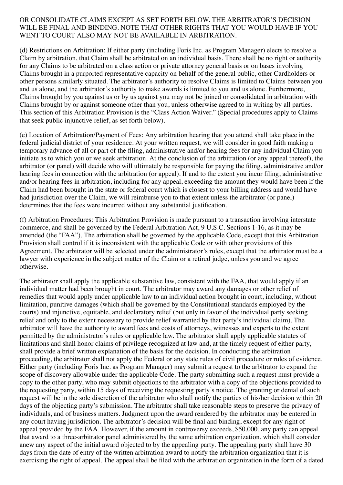#### OR CONSOLIDATE CLAIMS EXCEPT AS SET FORTH BELOW. THE ARBITRATOR'S DECISION WILL BE FINAL AND BINDING. NOTE THAT OTHER RIGHTS THAT YOU WOULD HAVE IF YOU WENT TO COURT ALSO MAY NOT BE AVAILABLE IN ARBITRATION.

(d) Restrictions on Arbitration: If either party (including Foris Inc. as Program Manager) elects to resolve a Claim by arbitration, that Claim shall be arbitrated on an individual basis. There shall be no right or authority for any Claims to be arbitrated on a class action or private attorney general basis or on bases involving Claims brought in a purported representative capacity on behalf of the general public, other Cardholders or other persons similarly situated. The arbitrator's authority to resolve Claims is limited to Claims between you and us alone, and the arbitrator's authority to make awards is limited to you and us alone. Furthermore, Claims brought by you against us or by us against you may not be joined or consolidated in arbitration with Claims brought by or against someone other than you, unless otherwise agreed to in writing by all parties. This section of this Arbitration Provision is the "Class Action Waiver." (Special procedures apply to Claims that seek public injunctive relief, as set forth below).

(e) Location of Arbitration/Payment of Fees: Any arbitration hearing that you attend shall take place in the federal judicial district of your residence. At your written request, we will consider in good faith making a temporary advance of all or part of the filing, administrative and/or hearing fees for any individual Claim you initiate as to which you or we seek arbitration. At the conclusion of the arbitration (or any appeal thereof), the arbitrator (or panel) will decide who will ultimately be responsible for paying the filing, administrative and/or hearing fees in connection with the arbitration (or appeal). If and to the extent you incur filing, administrative and/or hearing fees in arbitration, including for any appeal, exceeding the amount they would have been if the Claim had been brought in the state or federal court which is closest to your billing address and would have had jurisdiction over the Claim, we will reimburse you to that extent unless the arbitrator (or panel) determines that the fees were incurred without any substantial justification.

(f) Arbitration Procedures: This Arbitration Provision is made pursuant to a transaction involving interstate commerce, and shall be governed by the Federal Arbitration Act, 9 U.S.C. Sections 1-16, as it may be amended (the "FAA"). The arbitration shall be governed by the applicable Code, except that this Arbitration Provision shall control if it is inconsistent with the applicable Code or with other provisions of this Agreement. The arbitrator will be selected under the administrator's rules, except that the arbitrator must be a lawyer with experience in the subject matter of the Claim or a retired judge, unless you and we agree otherwise.

The arbitrator shall apply the applicable substantive law, consistent with the FAA, that would apply if an individual matter had been brought in court. The arbitrator may award any damages or other relief of remedies that would apply under applicable law to an individual action brought in court, including, without limitation, punitive damages (which shall be governed by the Constitutional standards employed by the courts) and injunctive, equitable, and declaratory relief (but only in favor of the individual party seeking relief and only to the extent necessary to provide relief warranted by that party's individual claim). The arbitrator will have the authority to award fees and costs of attorneys, witnesses and experts to the extent permitted by the administrator's rules or applicable law. The arbitrator shall apply applicable statutes of limitations and shall honor claims of privilege recognized at law and, at the timely request of either party, shall provide a brief written explanation of the basis for the decision. In conducting the arbitration proceeding, the arbitrator shall not apply the Federal or any state rules of civil procedure or rules of evidence. Either party (including Foris Inc. as Program Manager) may submit a request to the arbitrator to expand the scope of discovery allowable under the applicable Code. The party submitting such a request must provide a copy to the other party, who may submit objections to the arbitrator with a copy of the objections provided to the requesting party, within 15 days of receiving the requesting party's notice. The granting or denial of such request will be in the sole discretion of the arbitrator who shall notify the parties of his/her decision within 20 days of the objecting party's submission. The arbitrator shall take reasonable steps to preserve the privacy of individuals, and of business matters. Judgment upon the award rendered by the arbitrator may be entered in any court having jurisdiction. The arbitrator's decision will be final and binding, except for any right of appeal provided by the FAA. However, if the amount in controversy exceeds, \$50,000, any party can appeal that award to a three-arbitrator panel administered by the same arbitration organization, which shall consider anew any aspect of the initial award objected to by the appealing party. The appealing party shall have 30 days from the date of entry of the written arbitration award to notify the arbitration organization that it is exercising the right of appeal. The appeal shall be filed with the arbitration organization in the form of a dated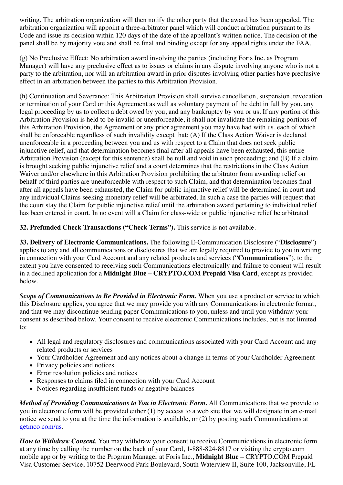writing. The arbitration organization will then notify the other party that the award has been appealed. The arbitration organization will appoint a three-arbitrator panel which will conduct arbitration pursuant to its Code and issue its decision within 120 days of the date of the appellant's written notice. The decision of the panel shall be by majority vote and shall be final and binding except for any appeal rights under the FAA.

(g) No Preclusive Effect: No arbitration award involving the parties (including Foris Inc. as Program Manager) will have any preclusive effect as to issues or claims in any dispute involving anyone who is not a party to the arbitration, nor will an arbitration award in prior disputes involving other parties have preclusive effect in an arbitration between the parties to this Arbitration Provision.

(h) Continuation and Severance: This Arbitration Provision shall survive cancellation, suspension, revocation or termination of your Card or this Agreement as well as voluntary payment of the debt in full by you, any legal proceeding by us to collect a debt owed by you, and any bankruptcy by you or us. If any portion of this Arbitration Provision is held to be invalid or unenforceable, it shall not invalidate the remaining portions of this Arbitration Provision, the Agreement or any prior agreement you may have had with us, each of which shall be enforceable regardless of such invalidity except that: (A) If the Class Action Waiver is declared unenforceable in a proceeding between you and us with respect to a Claim that does not seek public injunctive relief, and that determination becomes final after all appeals have been exhausted, this entire Arbitration Provision (except for this sentence) shall be null and void in such proceeding; and (B) If a claim is brought seeking public injunctive relief and a court determines that the restrictions in the Class Action Waiver and/or elsewhere in this Arbitration Provision prohibiting the arbitrator from awarding relief on behalf of third parties are unenforceable with respect to such Claim, and that determination becomes final after all appeals have been exhausted, the Claim for public injunctive relief will be determined in court and any individual Claims seeking monetary relief will be arbitrated. In such a case the parties will request that the court stay the Claim for public injunctive relief until the arbitration award pertaining to individual relief has been entered in court. In no event will a Claim for class-wide or public injunctive relief be arbitrated

**32. Prefunded Check Transactions ("Check Terms").** This service is not available.

**33. Delivery of Electronic Communications.** The following E-Communication Disclosure ("**Disclosure**") applies to any and all communications or disclosures that we are legally required to provide to you in writing in connection with your Card Account and any related products and services ("**Communications**"), to the extent you have consented to receiving such Communications electronically and failure to consent will result in a declined application for a **Midnight Blue – CRYPTO.COM Prepaid Visa Card**, except as provided below.

*Scope of Communications to Be Provided in Electronic Form.* When you use a product or service to which this Disclosure applies, you agree that we may provide you with any Communications in electronic format, and that we may discontinue sending paper Communications to you, unless and until you withdraw your consent as described below. Your consent to receive electronic Communications includes, but is not limited to:

- All legal and regulatory disclosures and communications associated with your Card Account and any related products or services
- Your Cardholder Agreement and any notices about a change in terms of your Cardholder Agreement
- Privacy policies and notices
- Error resolution policies and notices
- Responses to claims filed in connection with your Card Account
- Notices regarding insufficient funds or negative balances

*Method of Providing Communications to You in Electronic Form.* All Communications that we provide to you in electronic form will be provided either (1) by access to a web site that we will designate in an e-mail notice we send to you at the time the information is available, or (2) by posting such Communications at [getmco.com/us.](https://crypto.com/document/getmco.com/us)

*How to Withdraw Consent.* You may withdraw your consent to receive Communications in electronic form at any time by calling the number on the back of your Card, 1-888-824-8817 or visiting the crypto.com mobile app or by writing to the Program Manager at Foris Inc., **Midnight Blue** – CRYPTO.COM Prepaid Visa Customer Service, 10752 Deerwood Park Boulevard, South Waterview II, Suite 100, Jacksonville, FL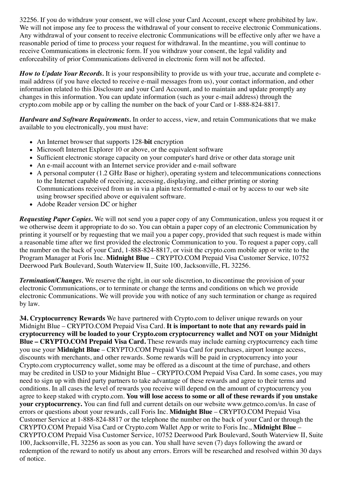32256. If you do withdraw your consent, we will close your Card Account, except where prohibited by law. We will not impose any fee to process the withdrawal of your consent to receive electronic Communications. Any withdrawal of your consent to receive electronic Communications will be effective only after we have a reasonable period of time to process your request for withdrawal. In the meantime, you will continue to receive Communications in electronic form. If you withdraw your consent, the legal validity and enforceability of prior Communications delivered in electronic form will not be affected.

*How to Update Your Records.* It is your responsibility to provide us with your true, accurate and complete email address (if you have elected to receive e-mail messages from us), your contact information, and other information related to this Disclosure and your Card Account, and to maintain and update promptly any changes in this information. You can update information (such as your e-mail address) through the crypto.com mobile app or by calling the number on the back of your Card or 1-888-824-8817.

*Hardware and Software Requirements.* In order to access, view, and retain Communications that we make available to you electronically, you must have:

- An Internet browser that supports 128-**bit** encryption
- Microsoft Internet Explorer 10 or above, or the equivalent software
- Sufficient electronic storage capacity on your computer's hard drive or other data storage unit
- An e-mail account with an Internet service provider and e-mail software
- A personal computer (1.2 GHz Base or higher), operating system and telecommunications connections to the Internet capable of receiving, accessing, displaying, and either printing or storing Communications received from us in via a plain text-formatted e-mail or by access to our web site using browser specified above or equivalent software.
- Adobe Reader version DC or higher

*Requesting Paper Copies.* We will not send you a paper copy of any Communication, unless you request it or we otherwise deem it appropriate to do so. You can obtain a paper copy of an electronic Communication by printing it yourself or by requesting that we mail you a paper copy, provided that such request is made within a reasonable time after we first provided the electronic Communication to you. To request a paper copy, call the number on the back of your Card, 1-888-824-8817, or visit the crypto.com mobile app or write to the Program Manager at Foris Inc. **Midnight Blue** – CRYPTO.COM Prepaid Visa Customer Service, 10752 Deerwood Park Boulevard, South Waterview II, Suite 100, Jacksonville, FL 32256.

*Termination/Changes.* We reserve the right, in our sole discretion, to discontinue the provision of your electronic Communications, or to terminate or change the terms and conditions on which we provide electronic Communications. We will provide you with notice of any such termination or change as required by law.

**34. Cryptocurrency Rewards** We have partnered with Crypto.com to deliver unique rewards on your Midnight Blue – CRYPTO.COM Prepaid Visa Card. **It is important to note that any rewards paid in cryptocurrency will be loaded to your Crypto.com cryptocurrency wallet and NOT on your Midnight Blue – CRYPTO.COM Prepaid Visa Card.** These rewards may include earning cryptocurrency each time you use your **Midnight Blue** – CRYPTO.COM Prepaid Visa Card for purchases, airport lounge access, discounts with merchants, and other rewards. Some rewards will be paid in cryptocurrency into your Crypto.com cryptocurrency wallet, some may be offered as a discount at the time of purchase, and others may be credited in USD to your Midnight Blue – CRYPTO.COM Prepaid Visa Card. In some cases, you may need to sign up with third party partners to take advantage of these rewards and agree to their terms and conditions. In all cases the level of rewards you receive will depend on the amount of cryptocurrency you agree to keep staked with crypto.com. **You will lose access to some or all of these rewards if you unstake your cryptocurrency.** You can find full and current details on our website www.getmco.com/us. In case of errors or questions about your rewards, call Foris Inc. **Midnight Blue** – CRYPTO.COM Prepaid Visa Customer Service at 1-888-824-8817 or the telephone the number on the back of your Card or through the CRYPTO.COM Prepaid Visa Card or Crypto.com Wallet App or write to Foris Inc., **Midnight Blue** – CRYPTO.COM Prepaid Visa Customer Service, 10752 Deerwood Park Boulevard, South Waterview II, Suite 100, Jacksonville, FL 32256 as soon as you can. You shall have seven (7) days following the award or redemption of the reward to notify us about any errors. Errors will be researched and resolved within 30 days of notice.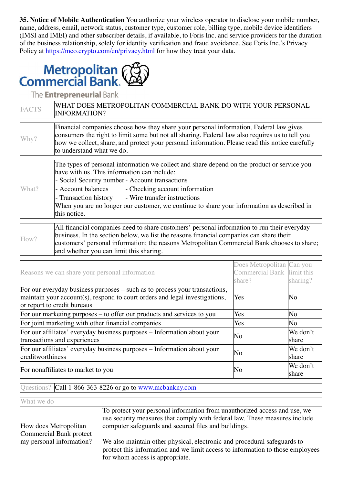**35. Notice of Mobile Authentication** You authorize your wireless operator to disclose your mobile number, name, address, email, network status, customer type, customer role, billing type, mobile device identifiers (IMSI and IMEI) and other subscriber details, if available, to Foris Inc. and service providers for the duration of the business relationship, solely for identity verification and fraud avoidance. See Foris Inc.'s Privacy Policy at<https://mco.crypto.com/en/privacy.html>for how they treat your data.



The **Entrepreneurial** Bank

| <b>FACTS</b> | WHAT DOES METROPOLITAN COMMERCIAL BANK DO WITH YOUR PERSONAL<br><b>INFORMATION?</b>                                                                                                                                                                                                                                                                                                                                       |  |  |
|--------------|---------------------------------------------------------------------------------------------------------------------------------------------------------------------------------------------------------------------------------------------------------------------------------------------------------------------------------------------------------------------------------------------------------------------------|--|--|
| Why?         | Financial companies choose how they share your personal information. Federal law gives<br>consumers the right to limit some but not all sharing. Federal law also requires us to tell you<br>how we collect, share, and protect your personal information. Please read this notice carefully<br>to understand what we do.                                                                                                 |  |  |
| What?        | The types of personal information we collect and share depend on the product or service you<br>have with us. This information can include:<br>- Social Security number - Account transactions<br>- Account balances<br>- Checking account information<br>- Transaction history - Wire transfer instructions<br>When you are no longer our customer, we continue to share your information as described in<br>this notice. |  |  |
| How?         | All financial companies need to share customers' personal information to run their everyday<br>business. In the section below, we list the reasons financial companies can share their<br>customers' personal information; the reasons Metropolitan Commercial Bank chooses to share;                                                                                                                                     |  |  |

| Reasons we can share your personal information                                                                                                                                           | Does Metropolitan Can you<br>Commercial Bank limit this<br>share? | sharing?          |
|------------------------------------------------------------------------------------------------------------------------------------------------------------------------------------------|-------------------------------------------------------------------|-------------------|
| For our everyday business purposes – such as to process your transactions,<br>maintain your account(s), respond to court orders and legal investigations,<br>or report to credit bureaus | Yes                                                               | No                |
| For our marketing purposes – to offer our products and services to you                                                                                                                   | Yes                                                               | No                |
| For joint marketing with other financial companies                                                                                                                                       | Yes                                                               | No                |
| For our affiliates' everyday business purposes - Information about your<br>transactions and experiences                                                                                  | No                                                                | We don't<br>share |
| For our affiliates' everyday business purposes – Information about your<br>creditworthiness                                                                                              | No                                                                | We don't<br>share |
| For nonaffiliates to market to you                                                                                                                                                       | No                                                                | We don't<br>share |

#### Questions? Call 1-866-363-8226 or go to [www.mcbankny.com](https://crypto.com/document/www.mcbankny.com)

and whether you can limit this sharing.

| What we do                                       |                                                                                                                                                                                                                 |
|--------------------------------------------------|-----------------------------------------------------------------------------------------------------------------------------------------------------------------------------------------------------------------|
| How does Metropolitan<br>Commercial Bank protect | To protect your personal information from unauthorized access and use, we<br>use security measures that comply with federal law. These measures include<br>computer safeguards and secured files and buildings. |
| my personal information?                         | We also maintain other physical, electronic and procedural safeguards to<br>protect this information and we limit access to information to those employees<br>for whom access is appropriate.                   |
|                                                  |                                                                                                                                                                                                                 |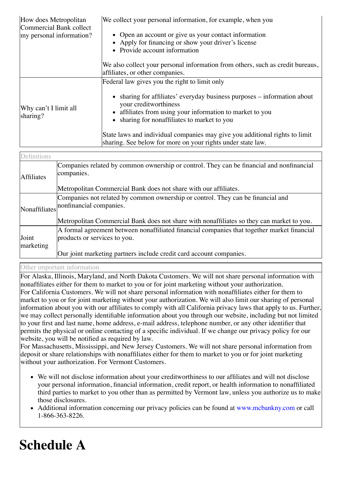| How does Metropolitan<br>Commercial Bank collect<br>my personal information? | We collect your personal information, for example, when you<br>• Open an account or give us your contact information<br>• Apply for financing or show your driver's license<br>• Provide account information                                                                                                                                                                                                  |
|------------------------------------------------------------------------------|---------------------------------------------------------------------------------------------------------------------------------------------------------------------------------------------------------------------------------------------------------------------------------------------------------------------------------------------------------------------------------------------------------------|
|                                                                              | We also collect your personal information from others, such as credit bureaus,<br>affiliates, or other companies.                                                                                                                                                                                                                                                                                             |
| Why can't I limit all<br>sharing?                                            | Federal law gives you the right to limit only<br>• sharing for affiliates' everyday business purposes – information about<br>your creditworthiness<br>• affiliates from using your information to market to you<br>• sharing for nonaffiliates to market to you<br>State laws and individual companies may give you additional rights to limit<br>sharing. See below for more on your rights under state law. |

| Definitions        |                                                                                                                             |
|--------------------|-----------------------------------------------------------------------------------------------------------------------------|
| <b>Affiliates</b>  | Companies related by common ownership or control. They can be financial and nonfinancial<br>companies.                      |
|                    | Metropolitan Commercial Bank does not share with our affiliates.                                                            |
| Nonaffiliates      | Companies not related by common ownership or control. They can be financial and<br>nonfinancial companies.                  |
|                    | Metropolitan Commercial Bank does not share with nonaffiliates so they can market to you.                                   |
| Joint<br>marketing | A formal agreement between nonaffiliated financial companies that together market financial<br>products or services to you. |
|                    | Our joint marketing partners include credit card account companies.                                                         |

Other important information

For Alaska, Illinois, Maryland, and North Dakota Customers. We will not share personal information with nonaffiliates either for them to market to you or for joint marketing without your authorization. For California Customers. We will not share personal information with nonaffiliates either for them to market to you or for joint marketing without your authorization. We will also limit our sharing of personal information about you with our affiliates to comply with all California privacy laws that apply to us. Further, we may collect personally identifiable information about you through our website, including but not limited to your first and last name, home address, e-mail address, telephone number, or any other identifier that permits the physical or online contacting of a specific individual. If we change our privacy policy for our website, you will be notified as required by law.

For Massachusetts, Mississippi, and New Jersey Customers. We will not share personal information from deposit or share relationships with nonaffiliates either for them to market to you or for joint marketing without your authorization. For Vermont Customers.

- We will not disclose information about your creditworthiness to our affiliates and will not disclose your personal information, financial information, credit report, or health information to nonaffiliated third parties to market to you other than as permitted by Vermont law, unless you authorize us to make those disclosures.
- Additional information concerning our privacy policies can be found at [www.mcbankny.com](https://crypto.com/document/www.mcbankny.com) or call 1-866-363-8226.

# **Schedule A**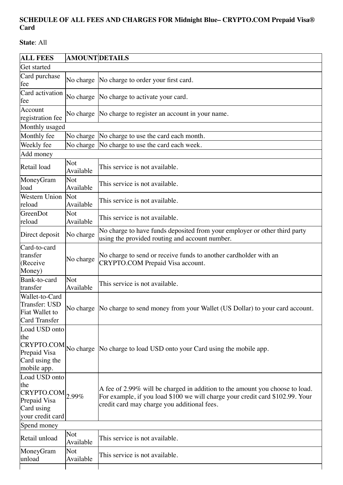## **SCHEDULE OF ALL FEES AND CHARGES FOR Midnight Blue– CRYPTO.COM Prepaid Visa® Card**

**State**: All

| <b>ALL FEES</b>                                                                                                        | <b>AMOUNT DETAILS</b>   |                                                                                                                                                                                                              |
|------------------------------------------------------------------------------------------------------------------------|-------------------------|--------------------------------------------------------------------------------------------------------------------------------------------------------------------------------------------------------------|
| Get started                                                                                                            |                         |                                                                                                                                                                                                              |
| Card purchase<br>fee                                                                                                   | No charge               | No charge to order your first card.                                                                                                                                                                          |
| Card activation<br>fee                                                                                                 | No charge               | No charge to activate your card.                                                                                                                                                                             |
| Account<br>registration fee                                                                                            | No charge               | No charge to register an account in your name.                                                                                                                                                               |
| Monthly usaged                                                                                                         |                         |                                                                                                                                                                                                              |
| Monthly fee                                                                                                            | No charge               | No charge to use the card each month.                                                                                                                                                                        |
| Weekly fee                                                                                                             |                         | No charge No charge to use the card each week.                                                                                                                                                               |
| Add money                                                                                                              |                         |                                                                                                                                                                                                              |
| Retail load                                                                                                            | Not<br>Available        | This service is not available.                                                                                                                                                                               |
| MoneyGram<br>load                                                                                                      | Not<br>Available        | This service is not available.                                                                                                                                                                               |
| Western Union<br>reload                                                                                                | Not<br>Available        | This service is not available.                                                                                                                                                                               |
| GreenDot<br>reload                                                                                                     | <b>Not</b><br>Available | This service is not available.                                                                                                                                                                               |
| Direct deposit                                                                                                         | No charge               | No charge to have funds deposited from your employer or other third party<br>using the provided routing and account number.                                                                                  |
| Card-to-card<br>transfer<br>(Receive<br>Money)                                                                         | No charge               | No charge to send or receive funds to another cardholder with an<br>CRYPTO.COM Prepaid Visa account.                                                                                                         |
| Bank-to-card<br>transfer                                                                                               | Not<br>Available        | This service is not available.                                                                                                                                                                               |
| Wallet-to-Card<br>Transfer: USD<br>Fiat Wallet to<br><b>Card Transfer</b>                                              |                         | No charge No charge to send money from your Wallet (US Dollar) to your card account.                                                                                                                         |
| Load USD onto<br>the<br>CRYPTO.COM No charge<br>Prepaid Visa<br>Card using the<br>mobile app.                          |                         | No charge to load USD onto your Card using the mobile app.                                                                                                                                                   |
| Load USD onto<br>the<br>$CRYPTO.COM$ <sub>2.99%</sub><br>Prepaid Visa<br>Card using<br>your credit card<br>Spend money |                         | A fee of 2.99% will be charged in addition to the amount you choose to load.<br>For example, if you load \$100 we will charge your credit card \$102.99. Your<br>credit card may charge you additional fees. |
|                                                                                                                        |                         |                                                                                                                                                                                                              |
| Retail unload                                                                                                          | Not<br>Available        | This service is not available.                                                                                                                                                                               |
| MoneyGram<br>unload                                                                                                    | Not<br>Available        | This service is not available.                                                                                                                                                                               |
|                                                                                                                        |                         |                                                                                                                                                                                                              |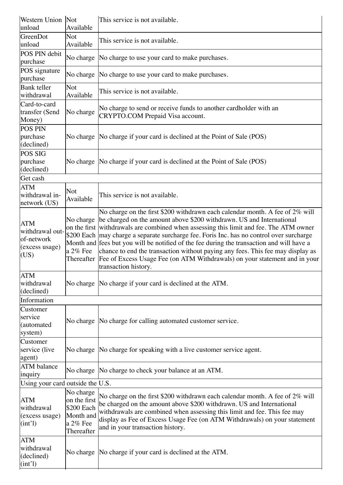| Western Union Not<br>unload                                           | Available                                                                      | This service is not available.                                                                                                                                                                                                                                                                                                                                                                                                                                                                                                                                                                                                  |
|-----------------------------------------------------------------------|--------------------------------------------------------------------------------|---------------------------------------------------------------------------------------------------------------------------------------------------------------------------------------------------------------------------------------------------------------------------------------------------------------------------------------------------------------------------------------------------------------------------------------------------------------------------------------------------------------------------------------------------------------------------------------------------------------------------------|
| GreenDot<br>unload                                                    | Not<br>Available                                                               | This service is not available.                                                                                                                                                                                                                                                                                                                                                                                                                                                                                                                                                                                                  |
| POS PIN debit<br>purchase                                             | No charge                                                                      | No charge to use your card to make purchases.                                                                                                                                                                                                                                                                                                                                                                                                                                                                                                                                                                                   |
| POS signature<br>purchase                                             | No charge                                                                      | No charge to use your card to make purchases.                                                                                                                                                                                                                                                                                                                                                                                                                                                                                                                                                                                   |
| <b>Bank</b> teller<br>withdrawal                                      | Not<br>Available                                                               | This service is not available.                                                                                                                                                                                                                                                                                                                                                                                                                                                                                                                                                                                                  |
| Card-to-card<br>transfer (Send<br>Money)                              | No charge                                                                      | No charge to send or receive funds to another cardholder with an<br>CRYPTO.COM Prepaid Visa account.                                                                                                                                                                                                                                                                                                                                                                                                                                                                                                                            |
| <b>POS PIN</b><br>purchase<br>(declined)                              | No charge                                                                      | No charge if your card is declined at the Point of Sale (POS)                                                                                                                                                                                                                                                                                                                                                                                                                                                                                                                                                                   |
| POS SIG<br>purchase<br>(declined)                                     | No charge                                                                      | No charge if your card is declined at the Point of Sale (POS)                                                                                                                                                                                                                                                                                                                                                                                                                                                                                                                                                                   |
| Get cash                                                              |                                                                                |                                                                                                                                                                                                                                                                                                                                                                                                                                                                                                                                                                                                                                 |
| <b>ATM</b><br>withdrawal in-<br>network (US)                          | <b>Not</b><br>Available                                                        | This service is not available.                                                                                                                                                                                                                                                                                                                                                                                                                                                                                                                                                                                                  |
| <b>ATM</b><br>withdrawal out-<br>of-network<br>(excess usage)<br>(US) | No charge<br>a $2\%$ Fee<br>Thereafter                                         | No charge on the first \$200 withdrawn each calendar month. A fee of 2% will<br>be charged on the amount above \$200 withdrawn. US and International<br>on the first withdrawals are combined when assessing this limit and fee. The ATM owner<br>\$200 Each may charge a separate surcharge fee. Foris Inc. has no control over surcharge<br>Month and fees but you will be notified of the fee during the transaction and will have a<br>chance to end the transaction without paying any fees. This fee may display as<br>Fee of Excess Usage Fee (on ATM Withdrawals) on your statement and in your<br>transaction history. |
| ATM<br>withdrawal<br>(declined)                                       | No charge                                                                      | No charge if your card is declined at the ATM.                                                                                                                                                                                                                                                                                                                                                                                                                                                                                                                                                                                  |
| Information                                                           |                                                                                |                                                                                                                                                                                                                                                                                                                                                                                                                                                                                                                                                                                                                                 |
| Customer<br>service<br>(automated<br>system)                          |                                                                                | No charge  No charge for calling automated customer service.                                                                                                                                                                                                                                                                                                                                                                                                                                                                                                                                                                    |
| Customer<br>service (live<br>agent)                                   | No charge                                                                      | No charge for speaking with a live customer service agent.                                                                                                                                                                                                                                                                                                                                                                                                                                                                                                                                                                      |
| <b>ATM</b> balance<br>inquiry                                         | No charge                                                                      | No charge to check your balance at an ATM.                                                                                                                                                                                                                                                                                                                                                                                                                                                                                                                                                                                      |
| Using your card outside the U.S.                                      |                                                                                |                                                                                                                                                                                                                                                                                                                                                                                                                                                                                                                                                                                                                                 |
| <b>ATM</b><br>withdrawal<br>(excess usage)<br>(int')                  | No charge<br>on the first<br>\$200 Each<br>Month and<br>a 2% Fee<br>Thereafter | No charge on the first \$200 withdrawn each calendar month. A fee of 2% will<br>be charged on the amount above \$200 withdrawn. US and International<br>withdrawals are combined when assessing this limit and fee. This fee may<br>display as Fee of Excess Usage Fee (on ATM Withdrawals) on your statement<br>and in your transaction history.                                                                                                                                                                                                                                                                               |
| <b>ATM</b><br>withdrawal<br>(declined)<br>(int')                      | No charge                                                                      | No charge if your card is declined at the ATM.                                                                                                                                                                                                                                                                                                                                                                                                                                                                                                                                                                                  |